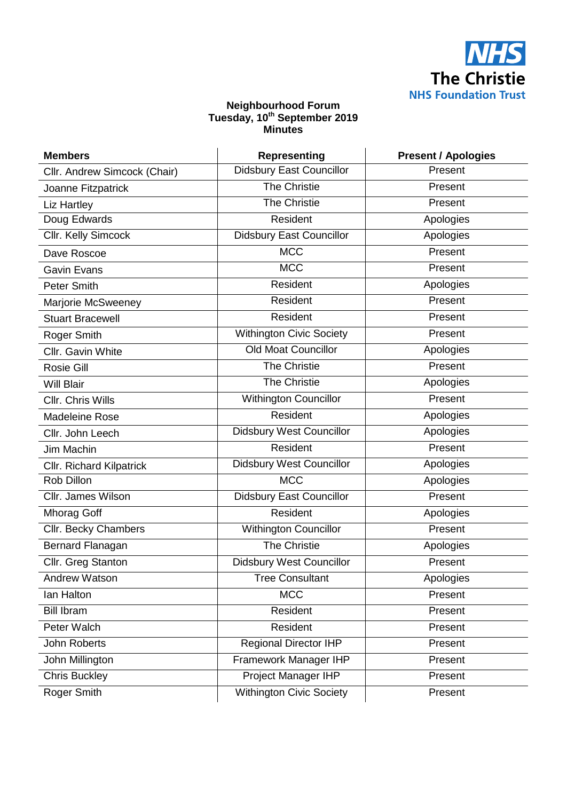

## **Neighbourhood Forum Tuesday, 10th September 2019 Minutes**

| <b>Members</b>                  | <b>Representing</b>             | <b>Present / Apologies</b> |
|---------------------------------|---------------------------------|----------------------------|
| Cllr. Andrew Simcock (Chair)    | <b>Didsbury East Councillor</b> | Present                    |
| Joanne Fitzpatrick              | The Christie                    | Present                    |
| <b>Liz Hartley</b>              | <b>The Christie</b>             | Present                    |
| Doug Edwards                    | Resident                        | Apologies                  |
| Cllr. Kelly Simcock             | <b>Didsbury East Councillor</b> | Apologies                  |
| Dave Roscoe                     | <b>MCC</b>                      | Present                    |
| <b>Gavin Evans</b>              | <b>MCC</b>                      | Present                    |
| <b>Peter Smith</b>              | Resident                        | Apologies                  |
| Marjorie McSweeney              | Resident                        | Present                    |
| <b>Stuart Bracewell</b>         | Resident                        | Present                    |
| Roger Smith                     | <b>Withington Civic Society</b> | Present                    |
| Cllr. Gavin White               | <b>Old Moat Councillor</b>      | Apologies                  |
| <b>Rosie Gill</b>               | <b>The Christie</b>             | Present                    |
| <b>Will Blair</b>               | The Christie                    | Apologies                  |
| Cllr. Chris Wills               | Withington Councillor           | Present                    |
| Madeleine Rose                  | Resident                        | Apologies                  |
| Cllr. John Leech                | <b>Didsbury West Councillor</b> | Apologies                  |
| Jim Machin                      | Resident                        | Present                    |
| <b>Cllr. Richard Kilpatrick</b> | <b>Didsbury West Councillor</b> | Apologies                  |
| Rob Dillon                      | <b>MCC</b>                      | Apologies                  |
| Cllr. James Wilson              | <b>Didsbury East Councillor</b> | Present                    |
| Mhorag Goff                     | Resident                        | Apologies                  |
| Cllr. Becky Chambers            | <b>Withington Councillor</b>    | Present                    |
| Bernard Flanagan                | <b>The Christie</b>             | Apologies                  |
| Cllr. Greg Stanton              | <b>Didsbury West Councillor</b> | Present                    |
| Andrew Watson                   | Tree Consultant                 | Apologies                  |
| lan Halton                      | <b>MCC</b>                      | Present                    |
| <b>Bill Ibram</b>               | Resident                        | Present                    |
| Peter Walch                     | Resident                        | Present                    |
| <b>John Roberts</b>             | <b>Regional Director IHP</b>    | Present                    |
| John Millington                 | Framework Manager IHP           | Present                    |
| <b>Chris Buckley</b>            | Project Manager IHP             | Present                    |
| Roger Smith                     | <b>Withington Civic Society</b> | Present                    |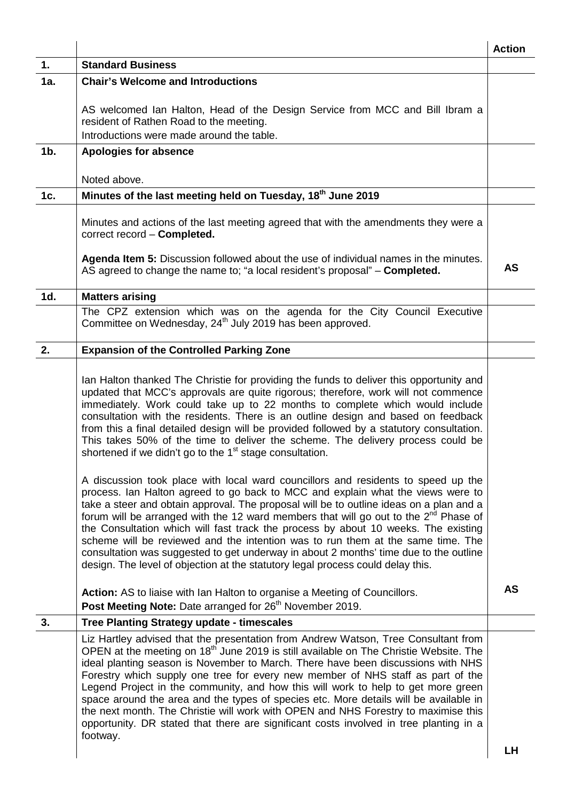|        |                                                                                                                                                                                                                                                                                                                                                                                                                                                                                                                                                                                                                                                                                                                                          | <b>Action</b> |
|--------|------------------------------------------------------------------------------------------------------------------------------------------------------------------------------------------------------------------------------------------------------------------------------------------------------------------------------------------------------------------------------------------------------------------------------------------------------------------------------------------------------------------------------------------------------------------------------------------------------------------------------------------------------------------------------------------------------------------------------------------|---------------|
| 1.     | <b>Standard Business</b>                                                                                                                                                                                                                                                                                                                                                                                                                                                                                                                                                                                                                                                                                                                 |               |
| 1a.    | <b>Chair's Welcome and Introductions</b>                                                                                                                                                                                                                                                                                                                                                                                                                                                                                                                                                                                                                                                                                                 |               |
|        | AS welcomed Ian Halton, Head of the Design Service from MCC and Bill Ibram a<br>resident of Rathen Road to the meeting.                                                                                                                                                                                                                                                                                                                                                                                                                                                                                                                                                                                                                  |               |
|        | Introductions were made around the table.                                                                                                                                                                                                                                                                                                                                                                                                                                                                                                                                                                                                                                                                                                |               |
| $1b$ . | <b>Apologies for absence</b>                                                                                                                                                                                                                                                                                                                                                                                                                                                                                                                                                                                                                                                                                                             |               |
|        | Noted above.                                                                                                                                                                                                                                                                                                                                                                                                                                                                                                                                                                                                                                                                                                                             |               |
| 1c.    | Minutes of the last meeting held on Tuesday, 18 <sup>th</sup> June 2019                                                                                                                                                                                                                                                                                                                                                                                                                                                                                                                                                                                                                                                                  |               |
|        | Minutes and actions of the last meeting agreed that with the amendments they were a<br>correct record - Completed.<br>Agenda Item 5: Discussion followed about the use of individual names in the minutes.                                                                                                                                                                                                                                                                                                                                                                                                                                                                                                                               |               |
|        | AS agreed to change the name to; "a local resident's proposal" - Completed.                                                                                                                                                                                                                                                                                                                                                                                                                                                                                                                                                                                                                                                              | AS            |
| 1d.    | <b>Matters arising</b>                                                                                                                                                                                                                                                                                                                                                                                                                                                                                                                                                                                                                                                                                                                   |               |
|        | The CPZ extension which was on the agenda for the City Council Executive<br>Committee on Wednesday, 24 <sup>th</sup> July 2019 has been approved.                                                                                                                                                                                                                                                                                                                                                                                                                                                                                                                                                                                        |               |
| 2.     | <b>Expansion of the Controlled Parking Zone</b>                                                                                                                                                                                                                                                                                                                                                                                                                                                                                                                                                                                                                                                                                          |               |
|        | Ian Halton thanked The Christie for providing the funds to deliver this opportunity and<br>updated that MCC's approvals are quite rigorous; therefore, work will not commence<br>immediately. Work could take up to 22 months to complete which would include<br>consultation with the residents. There is an outline design and based on feedback<br>from this a final detailed design will be provided followed by a statutory consultation.<br>This takes 50% of the time to deliver the scheme. The delivery process could be<br>shortened if we didn't go to the 1 <sup>st</sup> stage consultation.                                                                                                                                |               |
|        | A discussion took place with local ward councillors and residents to speed up the<br>process. Ian Halton agreed to go back to MCC and explain what the views were to<br>take a steer and obtain approval. The proposal will be to outline ideas on a plan and a<br>forum will be arranged with the 12 ward members that will go out to the 2 <sup>nd</sup> Phase of<br>the Consultation which will fast track the process by about 10 weeks. The existing<br>scheme will be reviewed and the intention was to run them at the same time. The<br>consultation was suggested to get underway in about 2 months' time due to the outline<br>design. The level of objection at the statutory legal process could delay this.                 |               |
|        | <b>Action:</b> AS to liaise with Ian Halton to organise a Meeting of Councillors.<br>Post Meeting Note: Date arranged for 26 <sup>th</sup> November 2019.                                                                                                                                                                                                                                                                                                                                                                                                                                                                                                                                                                                | AS            |
| 3.     | <b>Tree Planting Strategy update - timescales</b>                                                                                                                                                                                                                                                                                                                                                                                                                                                                                                                                                                                                                                                                                        |               |
|        | Liz Hartley advised that the presentation from Andrew Watson, Tree Consultant from<br>OPEN at the meeting on 18 <sup>th</sup> June 2019 is still available on The Christie Website. The<br>ideal planting season is November to March. There have been discussions with NHS<br>Forestry which supply one tree for every new member of NHS staff as part of the<br>Legend Project in the community, and how this will work to help to get more green<br>space around the area and the types of species etc. More details will be available in<br>the next month. The Christie will work with OPEN and NHS Forestry to maximise this<br>opportunity. DR stated that there are significant costs involved in tree planting in a<br>footway. |               |
|        |                                                                                                                                                                                                                                                                                                                                                                                                                                                                                                                                                                                                                                                                                                                                          | LН            |